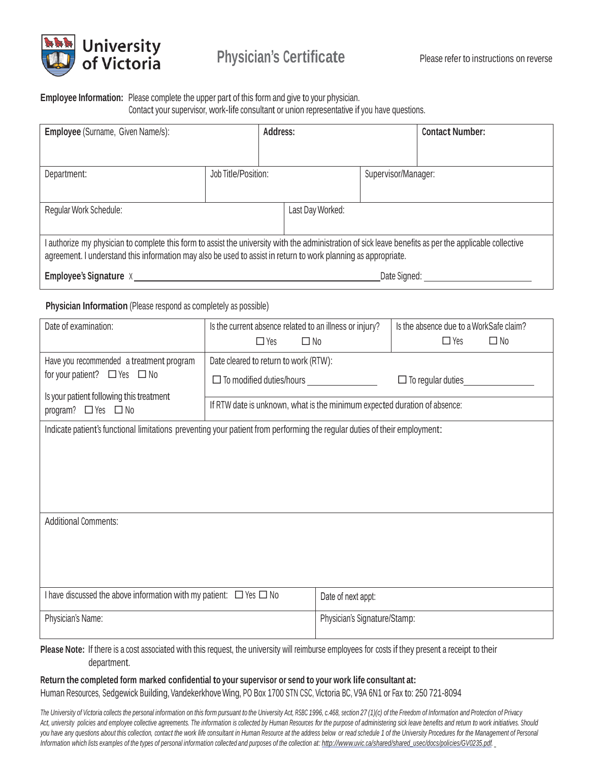

#### **Employee Information:** Please complete the upper part of this form and give to your physician. Contact your supervisor, work-life consultant or union representative if you have questions.

| Employee (Surname, Given Name/s):                                                                                                                                                                                                                                         |                                                                                    | Address:           |                     | <b>Contact Number:</b>                                                    |  |
|---------------------------------------------------------------------------------------------------------------------------------------------------------------------------------------------------------------------------------------------------------------------------|------------------------------------------------------------------------------------|--------------------|---------------------|---------------------------------------------------------------------------|--|
|                                                                                                                                                                                                                                                                           |                                                                                    |                    |                     |                                                                           |  |
| Department:                                                                                                                                                                                                                                                               | Job Title/Position:                                                                |                    | Supervisor/Manager: |                                                                           |  |
|                                                                                                                                                                                                                                                                           |                                                                                    |                    |                     |                                                                           |  |
| Regular Work Schedule:                                                                                                                                                                                                                                                    |                                                                                    | Last Day Worked:   |                     |                                                                           |  |
| I authorize my physician to complete this form to assist the university with the administration of sick leave benefits as per the applicable collective<br>agreement. I understand this information may also be used to assist in return to work planning as appropriate. |                                                                                    |                    |                     |                                                                           |  |
| Date Signed: National Contract Contract Contract Contract Contract Contract Contract Contract Contract Contract Contract Contract Contract Contract Contract Contract Contract Contract Contract Contract Contract Contract Co                                            |                                                                                    |                    |                     |                                                                           |  |
| Physician Information (Please respond as completely as possible)                                                                                                                                                                                                          |                                                                                    |                    |                     |                                                                           |  |
| Date of examination:                                                                                                                                                                                                                                                      | Is the current absence related to an illness or injury?<br>$\Box$ Yes<br>$\Box$ No |                    |                     | Is the absence due to a WorkSafe claim?<br>$\Box$ Yes<br>$\Box$ No        |  |
| Have you recommended a treatment program<br>for your patient? $\Box$ Yes $\Box$ No                                                                                                                                                                                        | Date cleared to return to work (RTW):                                              |                    |                     |                                                                           |  |
|                                                                                                                                                                                                                                                                           |                                                                                    |                    |                     | $\Box$ To regular duties                                                  |  |
| Is your patient following this treatment<br>program? $\Box$ Yes $\Box$ No                                                                                                                                                                                                 |                                                                                    |                    |                     | If RTW date is unknown, what is the minimum expected duration of absence: |  |
| Indicate patient's functional limitations preventing your patient from performing the regular duties of their employment:                                                                                                                                                 |                                                                                    |                    |                     |                                                                           |  |
|                                                                                                                                                                                                                                                                           |                                                                                    |                    |                     |                                                                           |  |
|                                                                                                                                                                                                                                                                           |                                                                                    |                    |                     |                                                                           |  |
|                                                                                                                                                                                                                                                                           |                                                                                    |                    |                     |                                                                           |  |
| <b>Additional Comments:</b>                                                                                                                                                                                                                                               |                                                                                    |                    |                     |                                                                           |  |
|                                                                                                                                                                                                                                                                           |                                                                                    |                    |                     |                                                                           |  |
|                                                                                                                                                                                                                                                                           |                                                                                    |                    |                     |                                                                           |  |
|                                                                                                                                                                                                                                                                           |                                                                                    |                    |                     |                                                                           |  |
| I have discussed the above information with my patient: $\Box$ Yes $\Box$ No                                                                                                                                                                                              |                                                                                    | Date of next appt: |                     |                                                                           |  |
| Physician's Name:                                                                                                                                                                                                                                                         | Physician's Signature/Stamp:                                                       |                    |                     |                                                                           |  |
|                                                                                                                                                                                                                                                                           |                                                                                    |                    |                     |                                                                           |  |

**Please Note:** If there is a cost associated with this request, the university will reimburse employees for costs if they present a receipt to their department.

# **Return the completed form marked confidential to your supervisor or send to your work life consultant at:**

Human Resources, Sedgewick Building, Vandekerkhove Wing, PO Box 1700 STN CSC, Victoria BC, V9A 6N1 or Fax to: 250 721-8094

The University of Victoria collects the personal information on this form pursuant to the University Act, RSBC 1996, c.468, section 27 (1)(c) of the Freedom of Information and Protection of Privacy Act, university policies and employee collective agreements. The information is collected by Human Resources for the purpose of administering sick leave benefits and return to work initiatives. Should you have any questions about this collection, contact the work life consultant in Human Resource at the address below or read schedule 1 of the University Procedures for the Management of Personal Information which lists examples of the types of personal information collected and purposes of the collection at: [http://www.uvic.ca/shared/shared\\_usec/docs/policies/GV0235.pdf.](http://www.uvic.ca/shared/shared_usec/docs/policies/GV0235.pdf)